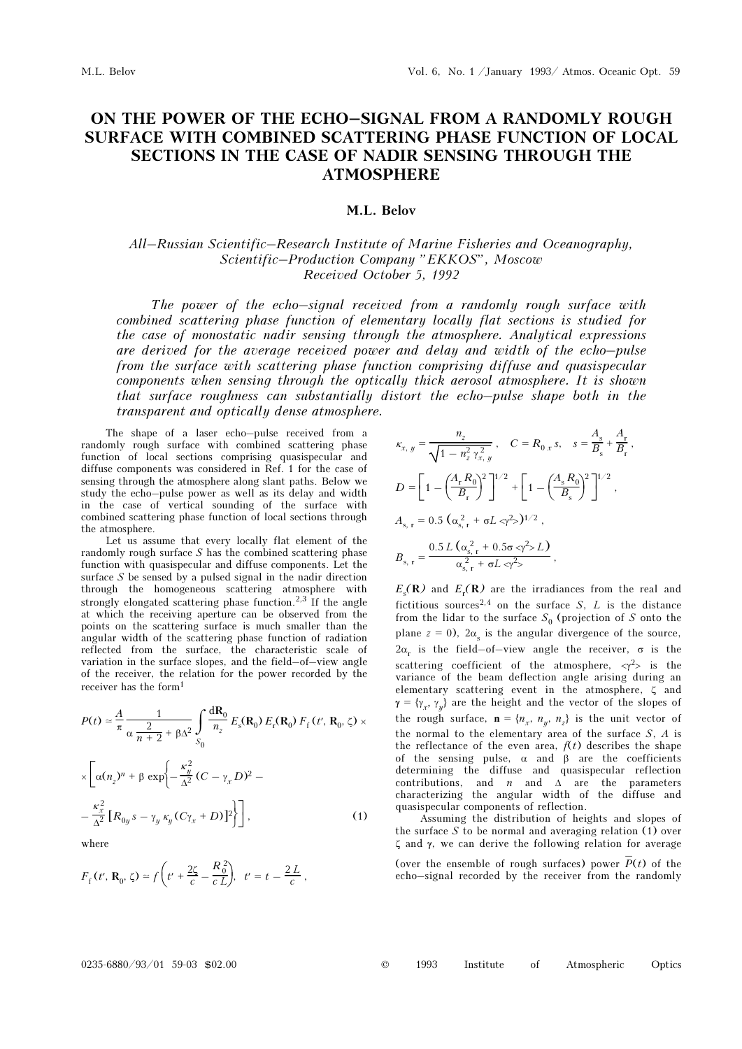# ON THE POWER OF THE ECHO–SIGNAL FROM A RANDOMLY ROUGH SURFACE WITH COMBINED SCATTERING PHASE FUNCTION OF LOCAL SECTIONS IN THE CASE OF NADIR SENSING THROUGH THE ATMOSPHERE

## M.L. Belov

# All–Russian Scientific–Research Institute of Marine Fisheries and Oceanography, Scientific–Production Company "EKKOS", Moscow Received October 5, 1992

The power of the echo–signal received from a randomly rough surface with combined scattering phase function of elementary locally flat sections is studied for the case of monostatic nadir sensing through the atmosphere. Analytical expressions are derived for the average received power and delay and width of the echo–pulse from the surface with scattering phase function comprising diffuse and quasispecular components when sensing through the optically thick aerosol atmosphere. It is shown that surface roughness can substantially distort the echo–pulse shape both in the transparent and optically dense atmosphere.

The shape of a laser echo–pulse received from a randomly rough surface with combined scattering phase function of local sections comprising quasispecular and diffuse components was considered in Ref. 1 for the case of sensing through the atmosphere along slant paths. Below we study the echo–pulse power as well as its delay and width in the case of vertical sounding of the surface with combined scattering phase function of local sections through the atmosphere.

Let us assume that every locally flat element of the randomly rough surface  $S$  has the combined scattering phase function with quasispecular and diffuse components. Let the surface  $S$  be sensed by a pulsed signal in the nadir direction through the homogeneous scattering atmosphere with strongly elongated scattering phase function.<sup>2,3</sup> If the angle at which the receiving aperture can be observed from the points on the scattering surface is much smaller than the angular width of the scattering phase function of radiation reflected from the surface, the characteristic scale of variation in the surface slopes, and the field–of–view angle of the receiver, the relation for the power recorded by the receiver has the form<sup>1</sup>

$$
P(t) \approx \frac{A}{\pi} \frac{1}{\alpha \frac{2}{n+2} + \beta \Delta^2} \int_{S_0} \frac{d\mathbf{R}_0}{n_z} E_s(\mathbf{R}_0) E_r(\mathbf{R}_0) F_f(t', \mathbf{R}_0, \zeta) \times
$$
  
 
$$
\times \left[ \alpha(n_z)^n + \beta \exp \left\{ -\frac{\kappa_y^2}{\Delta^2} (C - \gamma_x D)^2 - \frac{\kappa_x^2}{\Delta^2} \left[ R_{0y} s - \gamma_y \kappa_y (C \gamma_x + D) \right]^2 \right\} \right],
$$
 (1)

where

$$
F_{\rm f}(t', \mathbf{R}_0, \zeta) \simeq f\left(t' + \frac{2\zeta}{c} - \frac{R_0^2}{cL}\right), \ t' = t - \frac{2L}{c},
$$

$$
\kappa_{x, y} = \frac{n_z}{\sqrt{1 - n_z^2 \gamma_{x, y}^2}}, \quad C = R_{0, x} s, \quad s = \frac{A_s}{B_s} + \frac{A_r}{B_r},
$$
  
\n
$$
D = \left[1 - \left(\frac{A_r R_0}{B_r}\right)^2\right]^{1/2} + \left[1 - \left(\frac{A_s R_0}{B_s}\right)^2\right]^{1/2},
$$
  
\n
$$
A_{s, r} = 0.5 \left(\alpha_{s, r}^2 + \sigma L \langle r \rangle^2\right)^{1/2},
$$
  
\n
$$
B_{s, r} = \frac{0.5 L \left(\alpha_{s, r}^2 + 0.5 \sigma \langle r \rangle^2 \rangle L\right)}{\alpha_{s, r}^2 + \sigma L \langle r \rangle^2},
$$

 $E_{\rm s}({\bf R})$  and  $E_{\rm r}({\bf R})$  are the irradiances from the real and fictitious sources<sup>2,4</sup> on the surface S, L is the distance from the lidar to the surface  $S_0$  (projection of S onto the plane  $z = 0$ ),  $2\alpha_s$  is the angular divergence of the source,  $2α<sub>r</sub>$  is the field-of-view angle the receiver,  $σ$  is the scattering coefficient of the atmosphere,  $\langle \gamma^2 \rangle$  is the variance of the beam deflection angle arising during an elementary scattering event in the atmosphere, ζ and  $\gamma = {\gamma_x, \gamma_y}$  are the height and the vector of the slopes of the rough surface,  $\mathbf{n} = \{n_x, n_y, n_z\}$  is the unit vector of the normal to the elementary area of the surface  $S$ ,  $A$  is the reflectance of the even area,  $f(t)$  describes the shape of the sensing pulse, α and β are the coefficients determining the diffuse and quasispecular reflection contributions, and *n* and  $\Delta$  are the parameters characterizing the angular width of the diffuse and quasispecular components of reflection.

Assuming the distribution of heights and slopes of the surface S to be normal and averaging relation (1) over ζ and γ, we can derive the following relation for average

(over the ensemble of rough surfaces) power  $\overline{P}(t)$  of the echo–signal recorded by the receiver from the randomly

### 0235-6880/93/01 59-03 \$02.00 © 1993 Institute of Atmospheric Optics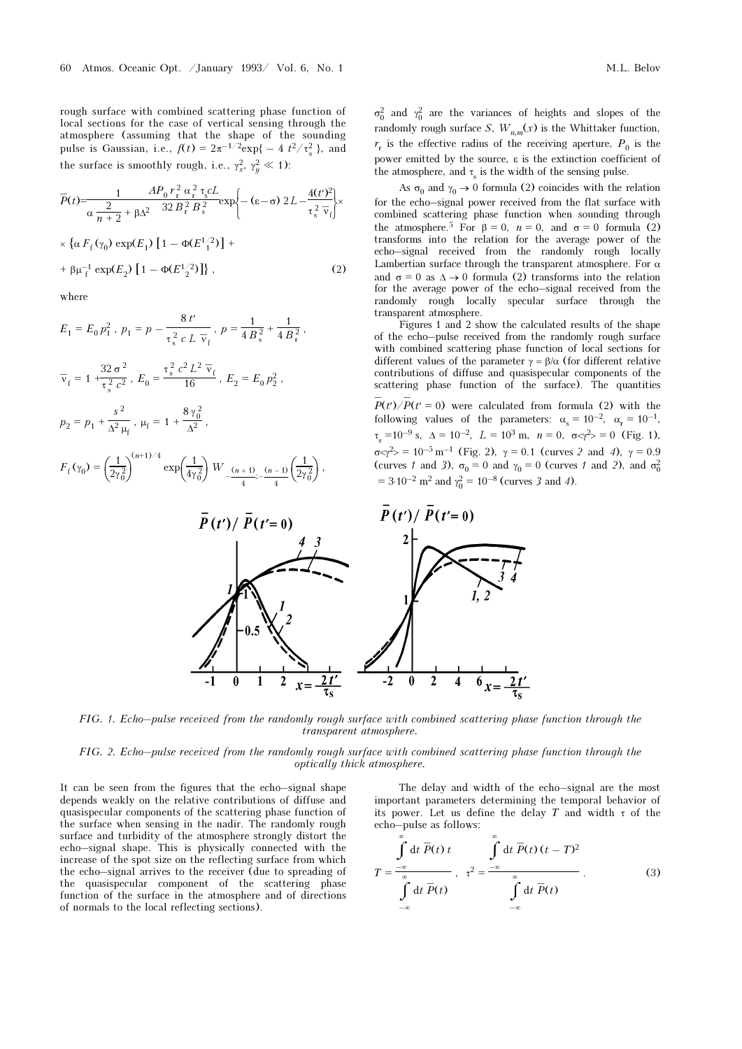rough surface with combined scattering phase function of local sections for the case of vertical sensing through the atmosphere (assuming that the shape of the sounding pulse is Gaussian, i.e.,  $f(t) = 2\pi^{-1/2} \exp\{-4t^2/\tau_s^2\}$ , and the surface is smoothly rough, i.e.,  $\gamma_x^2$ ,  $\gamma_y^2 \ll 1$ ):

$$
\overline{P}(t) = \frac{1}{\alpha} \frac{AP_0 r_r^2 \alpha_r^2 \tau_s cL}{32 B_r^2 B_s^2} \exp\left\{- (\varepsilon - \sigma) 2L - \frac{4(t')^2}{\tau_s^2 \overline{v}_f} \right] \times \left\{ \alpha F_f(\gamma_0) \exp(E_1) \left[ 1 - \Phi(E_1^{1/2}) \right] + \beta \mu_f^{-1} \exp(E_2) \left[ 1 - \Phi(E_2^{1/2}) \right] \right\},
$$
\n(2)

where

$$
E_1 = E_0 p_1^2, p_1 = p - \frac{8 t'}{\tau_s^2 c L \overline{v}_f}, p = \frac{1}{4 B_s^2} + \frac{1}{4 B_t^2},
$$
  

$$
\overline{v}_f = 1 + \frac{32 \sigma^2}{\tau_s^2 c^2}, E_0 = \frac{\tau_s^2 c^2 L^2 \overline{v}_f}{16}, E_2 = E_0 p_2^2,
$$
  

$$
p_2 = p_1 + \frac{s^2}{\Delta^2 \mu_f}, \mu_f = 1 + \frac{8 \gamma_0^2}{\Delta^2},
$$
  

$$
F_f(\gamma_0) = \left(\frac{1}{2 \gamma_0^2}\right)^{(n+1)/4} \exp\left(\frac{1}{4 \gamma_0^2}\right) W_{-\frac{(n+1)}{4};-\frac{(n-1)}{4}}\left(\frac{1}{2 \gamma_0^2}\right),
$$

 $σ<sub>0</sub><sup>2</sup>$  and  $γ<sub>0</sub><sup>2</sup>$  are the variances of heights and slopes of the randomly rough surface S,  $W_{n,m}(x)$  is the Whittaker function,  $r_r$  is the effective radius of the receiving aperture,  $P_0$  is the power emitted by the source, ε is the extinction coefficient of the atmosphere, and  $\tau_s$  is the width of the sensing pulse.

As  $\sigma_0$  and  $\gamma_0 \rightarrow 0$  formula (2) coincides with the relation for the echo–signal power received from the flat surface with combined scattering phase function when sounding through the atmosphere.<sup>5</sup> For  $\beta = 0$ ,  $n = 0$ , and  $\sigma = 0$  formula (2) transforms into the relation for the average power of the echo–signal received from the randomly rough locally Lambertian surface through the transparent atmosphere. For  $\alpha$ and  $\sigma = 0$  as  $\Delta \rightarrow 0$  formula (2) transforms into the relation for the average power of the echo–signal received from the randomly rough locally specular surface through the transparent atmosphere.

Figures 1 and 2 show the calculated results of the shape of the echo–pulse received from the randomly rough surface with combined scattering phase function of local sections for different values of the parameter  $\gamma = \beta/\alpha$  (for different relative contributions of diffuse and quasispecular components of the scattering phase function of the surface). The quantities

 $\overline{P}(t')/\overline{P}(t'=0)$  were calculated from formula (2) with the following values of the parameters:  $\alpha_s = 10^{-2}$ ,  $\alpha_r = 10^{-1}$ ,  $\tau_s = 10^{-9}$  s,  $\Delta = 10^{-2}$ ,  $L = 10^3$  m,  $n = 0$ ,  $\sigma \ll \gamma^2 > 0$  (Fig. 1),  $\sigma \ll \gamma^2$  = 10<sup>-5</sup> m<sup>-1</sup> (Fig. 2),  $\gamma = 0.1$  (curves 2 and 4),  $\gamma = 0.9$ (curves 1 and 3),  $\sigma_0 = 0$  and  $\gamma_0 = 0$  (curves 1 and 2), and  $\sigma_0^2$  $= 3.10^{-2}$  m<sup>2</sup> and  $\gamma_0^2 = 10^{-8}$  (curves 3 and 4).



FIG. 1. Echo–pulse received from the randomly rough surface with combined scattering phase function through the transparent atmosphere.

FIG. 2. Echo–pulse received from the randomly rough surface with combined scattering phase function through the optically thick atmosphere.

It can be seen from the figures that the echo–signal shape depends weakly on the relative contributions of diffuse and quasispecular components of the scattering phase function of the surface when sensing in the nadir. The randomly rough surface and turbidity of the atmosphere strongly distort the echo–signal shape. This is physically connected with the increase of the spot size on the reflecting surface from which the echo–signal arrives to the receiver (due to spreading of the quasispecular component of the scattering phase function of the surface in the atmosphere and of directions of normals to the local reflecting sections).

The delay and width of the echo–signal are the most important parameters determining the temporal behavior of its power. Let us define the delay T and width  $\tau$  of the echo–pulse as follows:

$$
T = \frac{\int_{-\infty}^{\infty} dt \overline{P}(t) t}{\int_{-\infty}^{\infty} dt \overline{P}(t)}, \tau^{2} = \frac{\int_{-\infty}^{\infty} dt \overline{P}(t) (t - T)^{2}}{\int_{-\infty}^{\infty} dt \overline{P}(t)}.
$$
 (3)